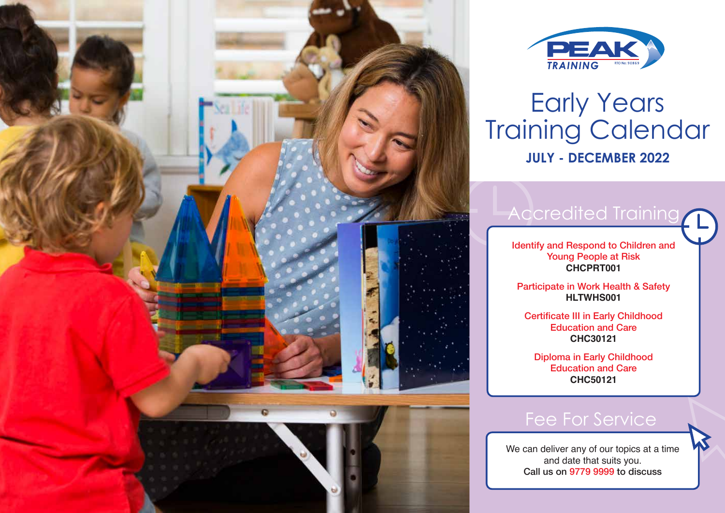



## Early Years Training Calendar **JULY - DECEMBER 2022**

## [Accredited Training](https://nswfdc.org.au/peak-training/early-childhood-education-courses/)

Identify and Respond to Children and Young People at Risk **CHCPRT001**

Participate in Work Health & Safety **HLTWHS001**

Certificate III in Early Childhood Education and Care **CHC30121**

Diploma in Early Childhood Education and Care **CHC50121**

### [Fee For Service](https://nswfdc.org.au/peak-training/short-courses/)

We can deliver any of our topics at a time and date that suits you. Call us on 9779 9999 to discuss